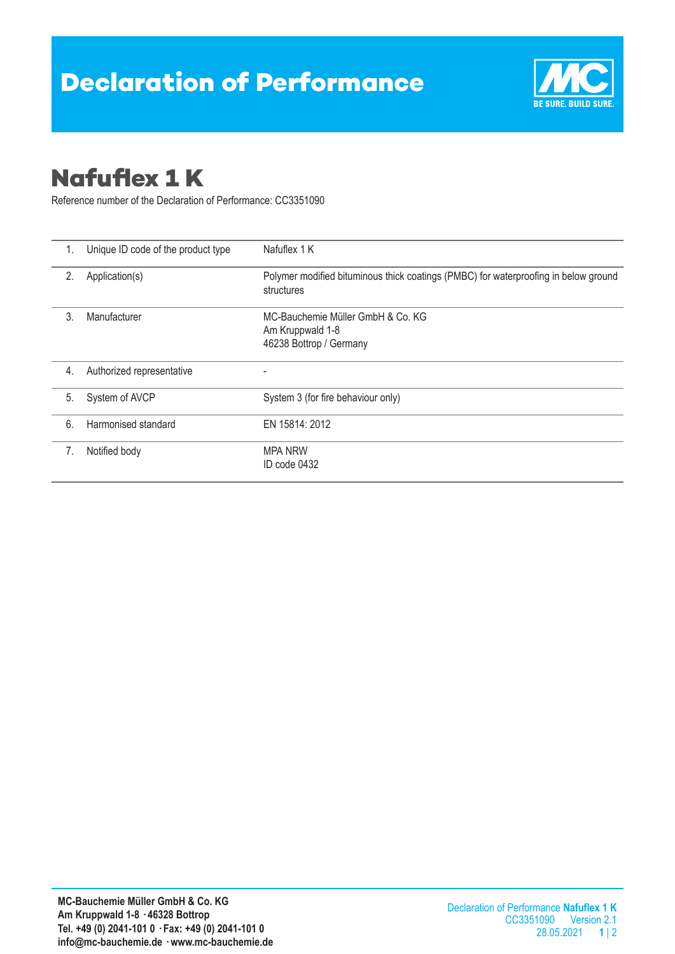

## **Nafuflex 1 K**

Reference number of the Declaration of Performance: CC3351090

| 1. | Unique ID code of the product type | Nafuflex 1 K                                                                                      |  |
|----|------------------------------------|---------------------------------------------------------------------------------------------------|--|
| 2. | Application(s)                     | Polymer modified bituminous thick coatings (PMBC) for waterproofing in below ground<br>structures |  |
| 3. | Manufacturer                       | MC-Bauchemie Müller GmbH & Co. KG<br>Am Kruppwald 1-8<br>46238 Bottrop / Germany                  |  |
| 4. | Authorized representative          |                                                                                                   |  |
| 5. | System of AVCP                     | System 3 (for fire behaviour only)                                                                |  |
| 6. | Harmonised standard                | EN 15814: 2012                                                                                    |  |
| 7. | Notified body                      | <b>MPA NRW</b><br>ID code 0432                                                                    |  |